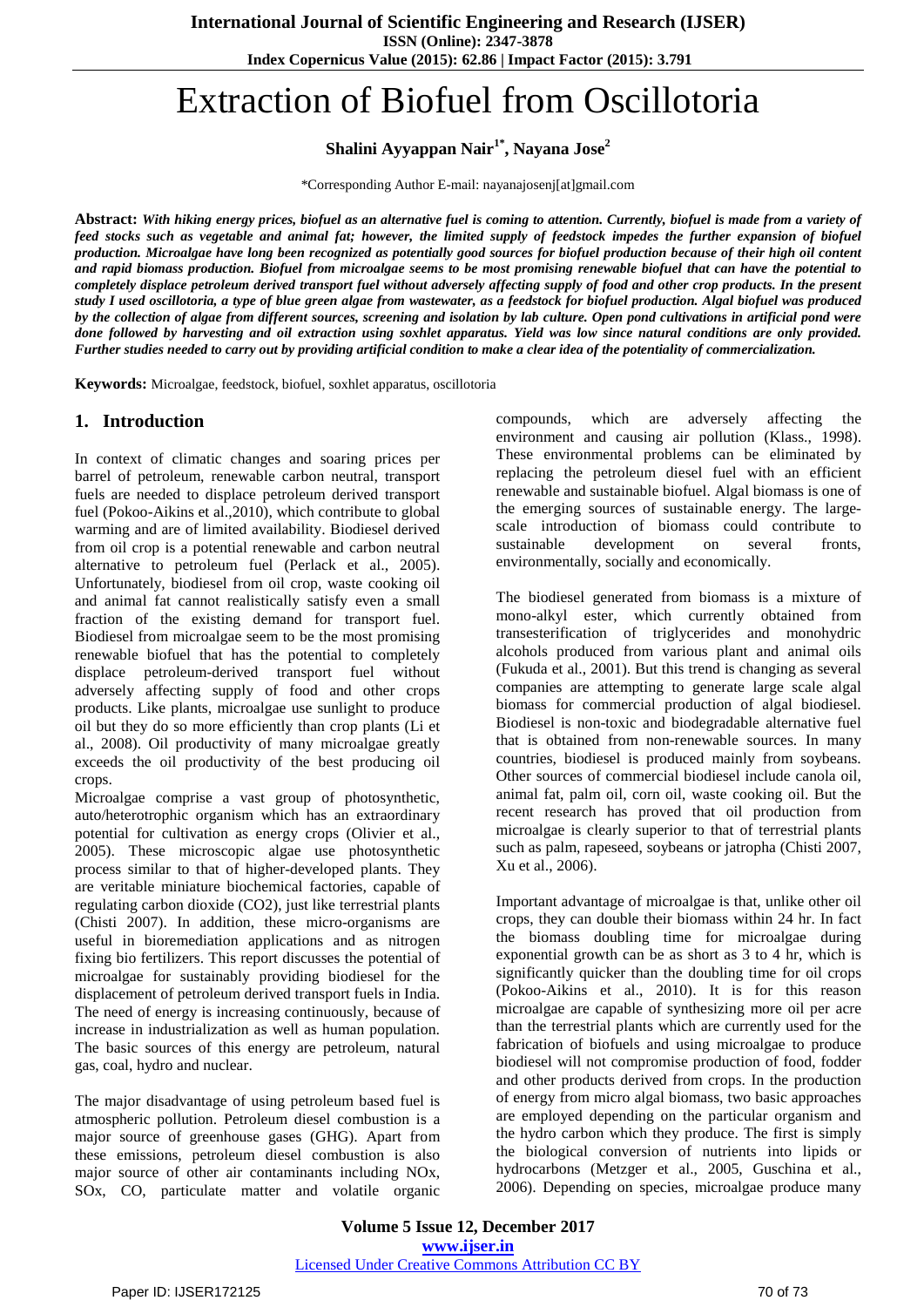**ISSN (Online): 2347-3878**

**Index Copernicus Value (2015): 62.86 | Impact Factor (2015): 3.791**

# Extraction of Biofuel from Oscillotoria

**Shalini Ayyappan Nair1\* , Nayana Jose<sup>2</sup>**

\*Corresponding Author E-mail: nayanajosenj[at]gmail.com

Abstract: With hiking energy prices, biofuel as an alternative fuel is coming to attention. Currently, biofuel is made from a variety of feed stocks such as vegetable and animal fat; however, the limited supply of feedstock impedes the further expansion of biofuel production. Microalgae have long been recognized as potentially good sources for biofuel production because of their high oil content and rapid biomass production. Biofuel from microalgae seems to be most promising renewable biofuel that can have the potential to completely displace petroleum derived transport fuel without adversely affecting supply of food and other crop products. In the present study I used oscillotoria, a type of blue green algae from wastewater, as a feedstock for biofuel production. Algal biofuel was produced by the collection of algae from different sources, screening and isolation by lab culture. Open pond cultivations in artificial pond were done followed by harvesting and oil extraction using soxhlet apparatus. Yield was low since natural conditions are only provided. Further studies needed to carry out by providing artificial condition to make a clear idea of the potentiality of commercialization.

**Keywords:** Microalgae, feedstock, biofuel, soxhlet apparatus, oscillotoria

## **1. Introduction**

In context of climatic changes and soaring prices per barrel of petroleum, renewable carbon neutral, transport fuels are needed to displace petroleum derived transport fuel (Pokoo-Aikins et al.,2010), which contribute to global warming and are of limited availability. Biodiesel derived from oil crop is a potential renewable and carbon neutral alternative to petroleum fuel (Perlack et al., 2005). Unfortunately, biodiesel from oil crop, waste cooking oil and animal fat cannot realistically satisfy even a small fraction of the existing demand for transport fuel. Biodiesel from microalgae seem to be the most promising renewable biofuel that has the potential to completely displace petroleum-derived transport fuel without adversely affecting supply of food and other crops products. Like plants, microalgae use sunlight to produce oil but they do so more efficiently than crop plants (Li et al., 2008). Oil productivity of many microalgae greatly exceeds the oil productivity of the best producing oil  $\cos$ 

Microalgae comprise a vast group of photosynthetic, auto/heterotrophic organism which has an extraordinary potential for cultivation as energy crops (Olivier et al., 2005). These microscopic algae use photosynthetic process similar to that of higher-developed plants. They are veritable miniature biochemical factories, capable of regulating carbon dioxide (CO2), just like terrestrial plants (Chisti 2007). In addition, these micro-organisms are useful in bioremediation applications and as nitrogen fixing bio fertilizers. This report discusses the potential of microalgae for sustainably providing biodiesel for the displacement of petroleum derived transport fuels in India. The need of energy is increasing continuously, because of increase in industrialization as well as human population. The basic sources of this energy are petroleum, natural gas, coal, hydro and nuclear.

The major disadvantage of using petroleum based fuel is atmospheric pollution. Petroleum diesel combustion is a major source of greenhouse gases (GHG). Apart from these emissions, petroleum diesel combustion is also major source of other air contaminants including NOx, SOx, CO, particulate matter and volatile organic

compounds, which are adversely affecting the environment and causing air pollution (Klass., 1998). These environmental problems can be eliminated by replacing the petroleum diesel fuel with an efficient renewable and sustainable biofuel. Algal biomass is one of the emerging sources of sustainable energy. The largescale introduction of biomass could contribute to sustainable development on several fronts, environmentally, socially and economically.

The biodiesel generated from biomass is a mixture of mono-alkyl ester, which currently obtained from transesterification of triglycerides and monohydric alcohols produced from various plant and animal oils (Fukuda et al., 2001). But this trend is changing as several companies are attempting to generate large scale algal biomass for commercial production of algal biodiesel. Biodiesel is non-toxic and biodegradable alternative fuel that is obtained from non-renewable sources. In many countries, biodiesel is produced mainly from soybeans. Other sources of commercial biodiesel include canola oil, animal fat, palm oil, corn oil, waste cooking oil. But the recent research has proved that oil production from microalgae is clearly superior to that of terrestrial plants such as palm, rapeseed, soybeans or jatropha (Chisti 2007, Xu et al., 2006).

Important advantage of microalgae is that, unlike other oil crops, they can double their biomass within 24 hr. In fact the biomass doubling time for microalgae during exponential growth can be as short as 3 to 4 hr, which is significantly quicker than the doubling time for oil crops (Pokoo-Aikins et al., 2010). It is for this reason microalgae are capable of synthesizing more oil per acre than the terrestrial plants which are currently used for the fabrication of biofuels and using microalgae to produce biodiesel will not compromise production of food, fodder and other products derived from crops. In the production of energy from micro algal biomass, two basic approaches are employed depending on the particular organism and the hydro carbon which they produce. The first is simply the biological conversion of nutrients into lipids or hydrocarbons (Metzger et al., 2005, Guschina et al., 2006). Depending on species, microalgae produce many

**Volume 5 Issue 12, December 2017 <www.ijser.in>** [Licensed Under Creative Commons Attribution CC BY](http://creativecommons.org/licenses/by/4.0/)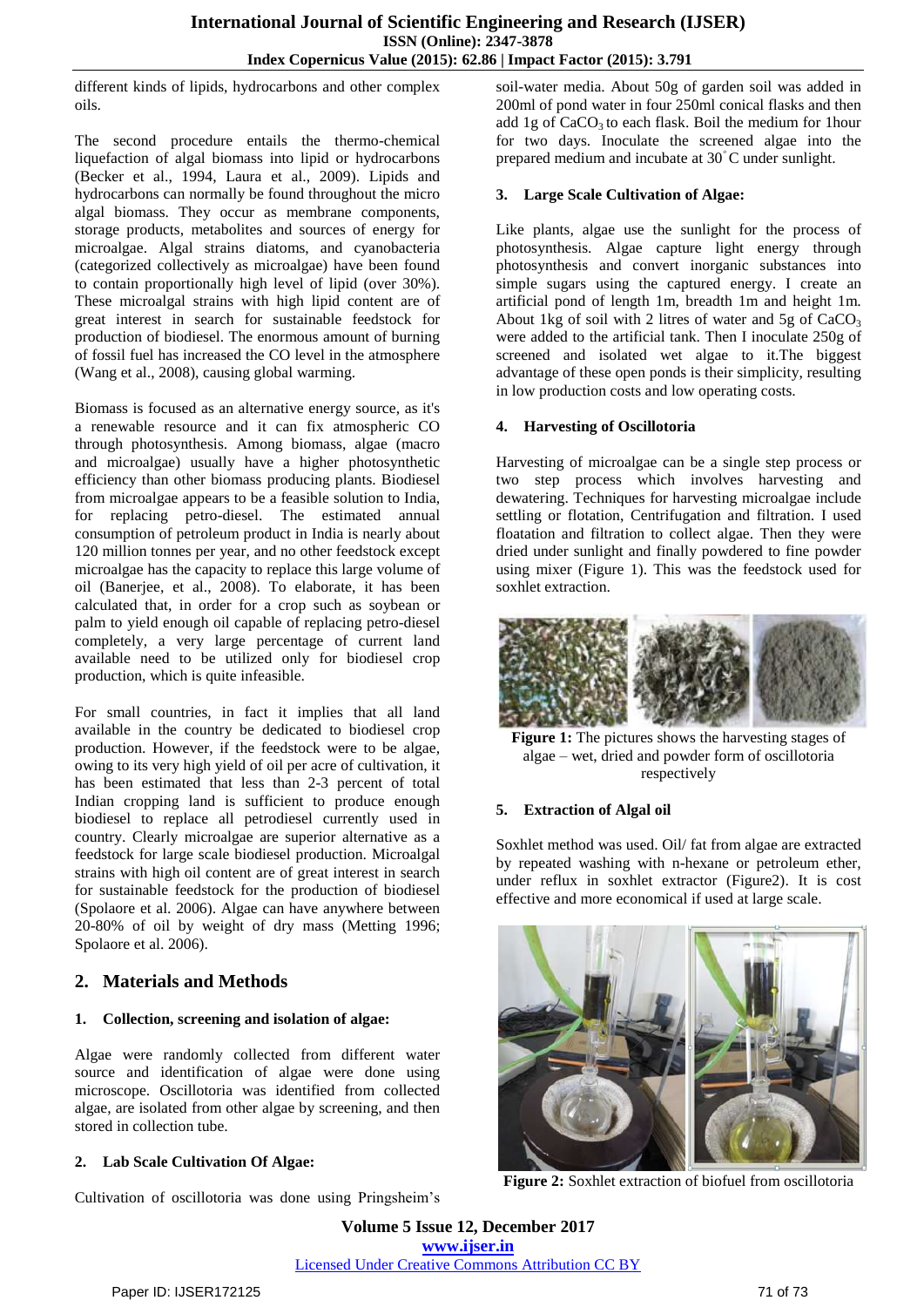different kinds of lipids, hydrocarbons and other complex oils.

The second procedure entails the thermo-chemical liquefaction of algal biomass into lipid or hydrocarbons (Becker et al., 1994, Laura et al., 2009). Lipids and hydrocarbons can normally be found throughout the micro algal biomass. They occur as membrane components, storage products, metabolites and sources of energy for microalgae. Algal strains diatoms, and cyanobacteria (categorized collectively as microalgae) have been found to contain proportionally high level of lipid (over 30%). These microalgal strains with high lipid content are of great interest in search for sustainable feedstock for production of biodiesel. The enormous amount of burning of fossil fuel has increased the CO level in the atmosphere (Wang et al., 2008), causing global warming.

Biomass is focused as an alternative energy source, as it's a renewable resource and it can fix atmospheric CO through photosynthesis. Among biomass, algae (macro and microalgae) usually have a higher photosynthetic efficiency than other biomass producing plants. Biodiesel from microalgae appears to be a feasible solution to India, for replacing petro-diesel. The estimated annual consumption of petroleum product in India is nearly about 120 million tonnes per year, and no other feedstock except microalgae has the capacity to replace this large volume of oil (Banerjee, et al., 2008). To elaborate, it has been calculated that, in order for a crop such as soybean or palm to yield enough oil capable of replacing petro-diesel completely, a very large percentage of current land available need to be utilized only for biodiesel crop production, which is quite infeasible.

For small countries, in fact it implies that all land available in the country be dedicated to biodiesel crop production. However, if the feedstock were to be algae, owing to its very high yield of oil per acre of cultivation, it has been estimated that less than 2-3 percent of total Indian cropping land is sufficient to produce enough biodiesel to replace all petrodiesel currently used in country. Clearly microalgae are superior alternative as a feedstock for large scale biodiesel production. Microalgal strains with high oil content are of great interest in search for sustainable feedstock for the production of biodiesel (Spolaore et al. 2006). Algae can have anywhere between 20-80% of oil by weight of dry mass (Metting 1996; **Spolaore et al. 2006).** 

# **2. Materials and Methods**

#### **1. Collection, screening and isolation of algae:**

Algae were randomly collected from different water source and identification of algae were done using microscope. Oscillotoria was identified from collected algae, are isolated from other algae by screening, and then stored in collection tube.

#### **2. Lab Scale Cultivation Of Algae:**

Cultivation of oscillotoria was done using Pringsheim's

soil-water media. About 50g of garden soil was added in 200ml of pond water in four 250ml conical flasks and then add 1g of CaCO<sub>3</sub> to each flask. Boil the medium for 1hour for two days. Inoculate the screened algae into the prepared medium and incubate at  $30^{\circ}$ C under sunlight.

#### **3. Large Scale Cultivation of Algae:**

Like plants, algae use the sunlight for the process of photosynthesis. Algae capture light energy through photosynthesis and convert inorganic substances into simple sugars using the captured energy. I create an artificial pond of length 1m, breadth 1m and height 1m. About 1kg of soil with 2 litres of water and 5g of  $CaCO<sub>3</sub>$ were added to the artificial tank. Then I inoculate 250g of screened and isolated wet algae to it.The biggest advantage of these open ponds is their simplicity, resulting in low production costs and low operating costs.

#### **4. Harvesting of Oscillotoria**

Harvesting of microalgae can be a single step process or two step process which involves harvesting and dewatering. Techniques for harvesting microalgae include settling or flotation, Centrifugation and filtration. I used floatation and filtration to collect algae. Then they were dried under sunlight and finally powdered to fine powder using mixer (Figure 1). This was the feedstock used for soxhlet extraction.



**Figure 1:** The pictures shows the harvesting stages of algae – wet, dried and powder form of oscillotoria respectively

#### **5. Extraction of Algal oil**

Soxhlet method was used. Oil/ fat from algae are extracted by repeated washing with n-hexane or petroleum ether, under reflux in soxhlet extractor (Figure2). It is cost effective and more economical if used at large scale.



**Figure 2:** Soxhlet extraction of biofuel from oscillotoria

**Volume 5 Issue 12, December 2017 <www.ijser.in>** [Licensed Under Creative Commons Attribution CC BY](http://creativecommons.org/licenses/by/4.0/)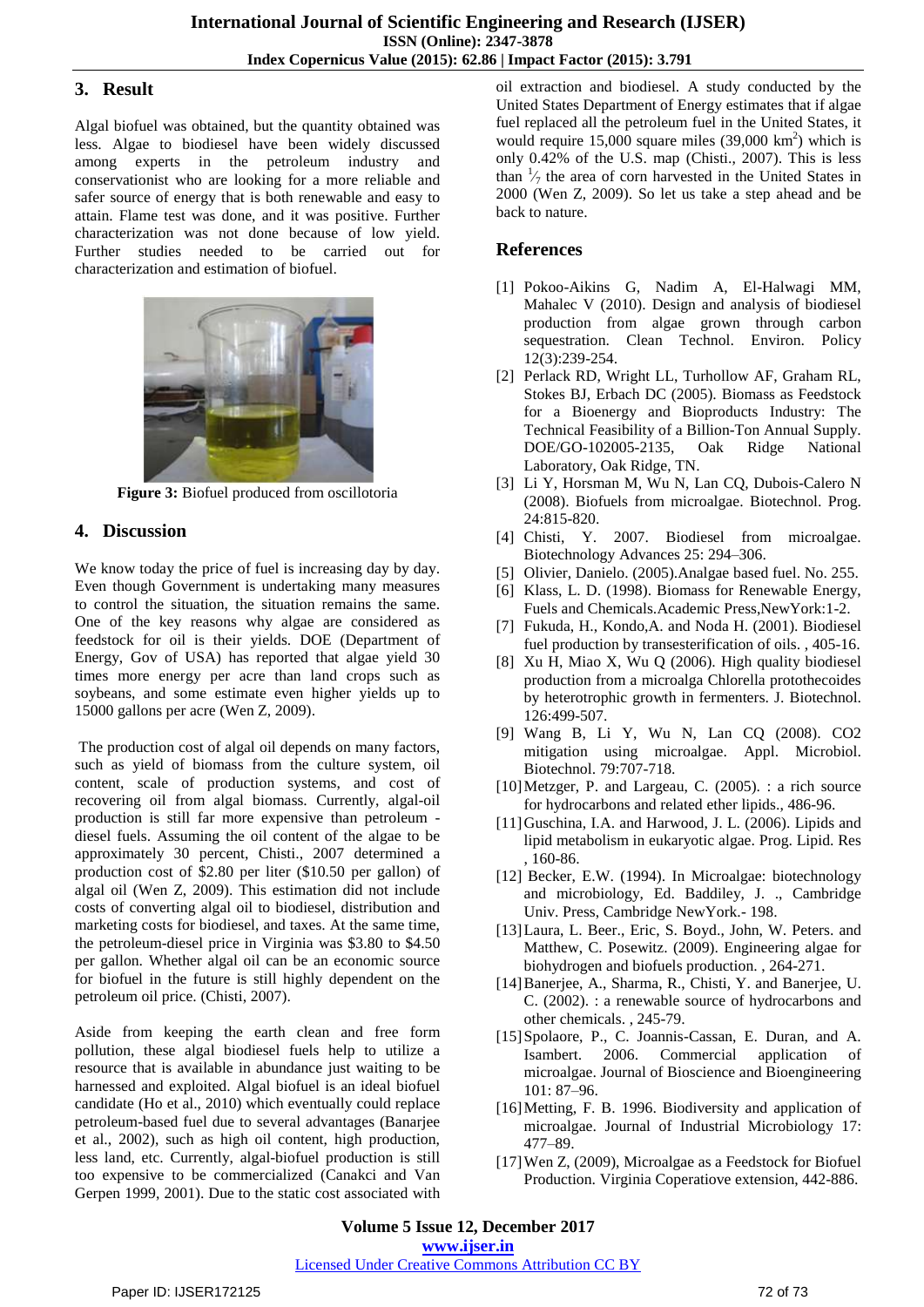## **3. Result**

Algal biofuel was obtained, but the quantity obtained was less. Algae to biodiesel have been widely discussed among experts in the petroleum industry and conservationist who are looking for a more reliable and safer source of energy that is both renewable and easy to attain. Flame test was done, and it was positive. Further characterization was not done because of low yield. Further studies needed to be carried out for characterization and estimation of biofuel.



**Figure 3:** Biofuel produced from oscillotoria

# **4. Discussion**

We know today the price of fuel is increasing day by day. Even though Government is undertaking many measures to control the situation, the situation remains the same. One of the key reasons why algae are considered as feedstock for oil is their yields. DOE (Department of Energy, Gov of USA) has reported that algae yield 30 times more energy per acre than land crops such as soybeans, and some estimate even higher yields up to 15000 gallons per acre (Wen Z, 2009).

The production cost of algal oil depends on many factors, such as yield of biomass from the culture system, oil content, scale of production systems, and cost of recovering oil from algal biomass. Currently, algal-oil production is still far more expensive than petroleum diesel fuels. Assuming the oil content of the algae to be approximately 30 percent, Chisti., 2007 determined a production cost of \$2.80 per liter (\$10.50 per gallon) of algal oil (Wen Z, 2009). This estimation did not include costs of converting algal oil to biodiesel, distribution and marketing costs for biodiesel, and taxes. At the same time, the petroleum-diesel price in Virginia was \$3.80 to \$4.50 per gallon. Whether algal oil can be an economic source for biofuel in the future is still highly dependent on the petroleum oil price. (Chisti, 2007).

Aside from keeping the earth clean and free form pollution, these algal biodiesel fuels help to utilize a resource that is available in abundance just waiting to be harnessed and exploited. Algal biofuel is an ideal biofuel candidate (Ho et al., 2010) which eventually could replace petroleum-based fuel due to several advantages (Banarjee et al., 2002), such as high oil content, high production, less land, etc. Currently, algal-biofuel production is still too expensive to be commercialized (Canakci and Van Gerpen 1999, 2001). Due to the static cost associated with oil extraction and biodiesel. A study conducted by the United States Department of Energy estimates that if algae fuel replaced all the petroleum fuel in the United States, it would require  $15,000$  square miles  $(39,000 \text{ km}^2)$  which is only 0.42% of the U.S. map (Chisti., 2007). This is less than  $\frac{1}{7}$  the area of corn harvested in the United States in 2000 (Wen Z, 2009). So let us take a step ahead and be back to nature.

# **References**

- [1] Pokoo-Aikins G, Nadim A, El-Halwagi MM, Mahalec V (2010). Design and analysis of biodiesel production from algae grown through carbon sequestration. Clean Technol. Environ. Policy 12(3):239-254.
- [2] Perlack RD, Wright LL, Turhollow AF, Graham RL, Stokes BJ, Erbach DC (2005). Biomass as Feedstock for a Bioenergy and Bioproducts Industry: The Technical Feasibility of a Billion-Ton Annual Supply. DOE/GO-102005-2135, Oak Ridge National Laboratory, Oak Ridge, TN.
- [3] Li Y, Horsman M, Wu N, Lan CQ, Dubois-Calero N (2008). Biofuels from microalgae. Biotechnol. Prog. 24:815-820.
- [4] Chisti, Y. 2007. Biodiesel from microalgae. Biotechnology Advances 25: 294–306.
- [5] Olivier, Danielo. (2005).Analgae based fuel. No. 255.
- [6] Klass, L. D. (1998). Biomass for Renewable Energy, Fuels and Chemicals.Academic Press,NewYork:1-2.
- [7] Fukuda, H., Kondo, A. and Noda H. (2001). Biodiesel fuel production by transesterification of oils. , 405-16.
- [8] Xu H, Miao X, Wu Q (2006). High quality biodiesel production from a microalga Chlorella protothecoides by heterotrophic growth in fermenters. J. Biotechnol. 126:499-507.
- [9] Wang B, Li Y, Wu N, Lan CQ (2008). CO2 mitigation using microalgae. Appl. Microbiol. Biotechnol. 79:707-718.
- [10]Metzger, P. and Largeau, C. (2005). : a rich source for hydrocarbons and related ether lipids., 486-96.
- [11] Guschina, I.A. and Harwood, J. L. (2006). Lipids and lipid metabolism in eukaryotic algae. Prog. Lipid. Res , 160-86.
- [12] Becker, E.W. (1994). In Microalgae: biotechnology and microbiology, Ed. Baddiley, J. ., Cambridge Univ. Press, Cambridge NewYork.- 198.
- [13]Laura, L. Beer., Eric, S. Boyd., John, W. Peters. and Matthew, C. Posewitz. (2009). Engineering algae for biohydrogen and biofuels production. , 264-271.
- [14]Banerjee, A., Sharma, R., Chisti, Y. and Banerjee, U. C. (2002). : a renewable source of hydrocarbons and other chemicals. , 245-79.
- [15]Spolaore, P., C. Joannis-Cassan, E. Duran, and A. Isambert. 2006. Commercial application of microalgae. Journal of Bioscience and Bioengineering 101: 87–96.
- [16]Metting, F. B. 1996. Biodiversity and application of microalgae. Journal of Industrial Microbiology 17: 477–89.
- [17]Wen Z, (2009), Microalgae as a Feedstock for Biofuel Production. Virginia Coperatiove extension, 442-886.

**Volume 5 Issue 12, December 2017 <www.ijser.in>** [Licensed Under Creative Commons Attribution CC BY](http://creativecommons.org/licenses/by/4.0/)